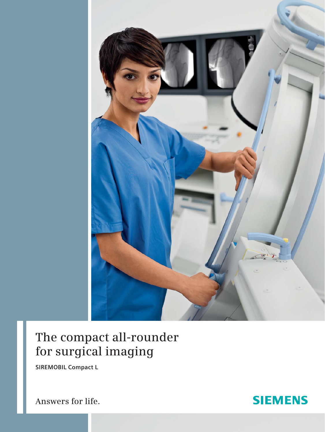

# **The compact all-rounder for surgical imaging**

**SIREMOBIL Compact L**

**Answers for life.**

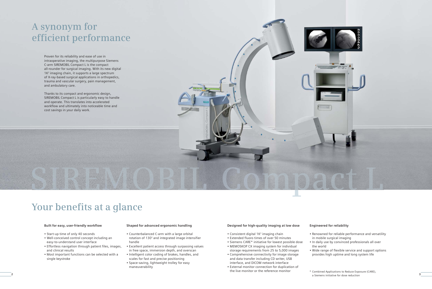## **Built for easy, user-friendly workflow**

- Start-up time of only 40 seconds
- Well-conceived control concept including an easy-to-understand user interface
- Effortless navigation through patient files, images, and clinical results
- Most important functions can be selected with a single keystroke

# **Designed for high-quality imaging at low dose**

- Consistent digital  $1K^2$  imaging chain
- Extended fluoro times of over 50 minutes
- Siemens CARE\* initiative for lowest possible dose
- MEMOSKOP CX imaging system for individual storage requirements from 25 to 5,000 images
- Comprehensive connectivity for image storage and data transfer including CD writer, USB interface, and DICOM network interface
- External monitor connection for duplication of the live monitor or the reference monitor
- 

# **Engineered for reliability**

• Renowned for reliable performance and versatility in mobile surgical imaging • In daily use by convinced professionals all over

the world



• Wide range of flexible service and support options provides high uptime and long system life

## **Shaped for advanced ergonomic handling**

- Counterbalanced C-arm with a large orbital rotation of 130° and integrated image intensifier handle
- Excellent patient access through surpassing values in free space, immersion depth, and overscan
- Intelligent color coding of brakes, handles, and scales for fast and precise positioning
- Space-saving, lightweight trolley for easy maneuverability

# **A synonym for efficient performance**

# **Your benefits at a glance**

Proven for its reliability and ease of use in intraoperative imaging, the multipurpose Siemens C-arm SIREMOBIL Compact L is the compact all-rounder for surgical imaging. With its new digital 1K<sup>2</sup> imaging chain, it supports a large spectrum of X-ray-based surgical applications in orthopedics, trauma and vascular surgery, pain management, and ambulatory care.

Thanks to its compact and ergonomic design, SIREMOBIL Compact L is particularly easy to handle and operate. This translates into accelerated workflow and ultimately into noticeable time and cost savings in your daily work.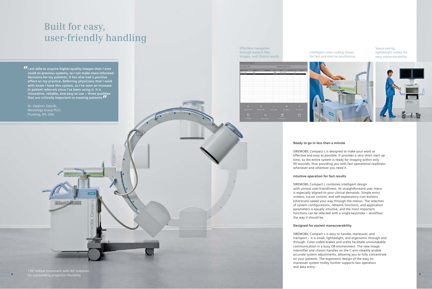Space-saving, lightweight trolley for easy maneuverability



SIREMOBIL Compact L is designed to make your work as effective and easy as possible. It provides a very short start-up time, so the entire system is ready for imaging within only 40 seconds, thus providing you with fast operational readiness whenever and wherever you need it.

## **Ready to go in less than a minute**

## **Intuitive operation for fast results**

SIREMOBIL Compact L combines intelligent design with utmost user-friendliness. Its straightforward user menu is especially aligned to your clinical demands. Simple entry screens, cursor control, and self-explanatory icon buttons (shortcuts) speed your way through the menus. The selection of system configurations, network functions, and application parameters is equally intuitive, and the most important functions can be selected with a single keystroke – workflow the way it should be.

# **Designed for easiest maneuverability**

SIREMOBIL Compact L is easy to handle, maneuver, and transport – it is small, lightweight, and ergonomic through and through. Color-coded brakes and scales facilitate unmistakable communication in a busy OR environment. The new image intensifier and chassis handles on the C-arm steadily enable accurate system adjustments, allowing you to fully concentrate on your patients. The ergonomic design of the easy-tomaneuver system trolley further supports fast operation and data entry.

# **Built for easy, user-friendly handling**

# Intelligent color coding allows for fast and precise positioning



Effortless navigation through patient files, images, and clinical results



130° orbital movement with 40° overscan for outstanding projection flexibility **4 5**

**" I am able to acquire higher-quality images than I ever " that are critically important in treating patients. could on previous systems, so I can make more informed decisions for my patients. It has also had a positive effect on my practice. Referring physicians that I work with know I have this system, so I've seen an increase in patient referrals since I've been using it. It is innovative, reliable, and easy to use – three qualities** 

Dr. Vladimir Zlatnik, Neurology Group PLLC, Flushing, NY, USA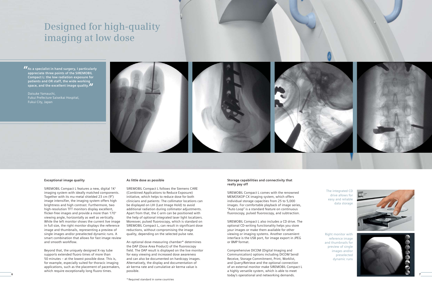# **Designed for high-quality imaging at low dose**

## **Exceptional image quality**

SIREMOBIL Compact L features a new, digital 1K<sup>2</sup> imaging system with ideally matched components. Together with its mu-metal shielded 23 cm (9") image intensifier, the imaging system offers high brightness and high contrast. Furthermore, two high-resolution TFT monitors display excellent, flicker-free images and provide a more than 170° viewing angle, horizontally as well as vertically. While the left monitor shows the current live image in full size, the right monitor displays the reference image and thumbnails, representing a preview of single images and/or preselected dynamic runs. A smart combination that allows for fast image review and smooth workflow.

Beyond that, the uniquely designed X-ray tube supports extended fluoro times of more than 50 minutes – at the lowest possible dose. This is, for example, especially suited for thoracic imaging applications, such as the placement of pacemakers, which require exceptionally long fluoro times.

The integrated CD drive allows for easy and reliable data storage

Right monitor with reference image and thumbnails for preview of single images and/or preselected dynamic runs



## **As little dose as possible**

SIREMOBIL Compact L follows the Siemens CARE (Combined Applications to Reduce Exposure) initiative, which helps to reduce dose for both clinicians and patients: The collimator locations can be displayed on LIH (Last Image Hold) to avoid additional radiation during collimator adjustments. Apart from that, the C-arm can be positioned with the help of optional integrated laser light localizers. Moreover, pulsed fluoroscopy, which is standard on SIREMOBIL Compact L, can result in significant dose reductions, without compromising the image quality, depending on the selected pulse rate.

An optional dose-measuring chamber\* determines the DAP (Dose Area Product) of the fluoroscopy field. The DAP result is displayed on the live monitor for easy viewing and increased dose awareness and can also be documented on hardcopy images. Alternatively, the display and documentation of air kerma rate and cumulative air kerma value is possible.

**"As a specialist in hand surgery, I particularly appreciate three points of the SIREMOBIL Compact L: the low radiation exposure for patients and OR staff, the wide working space, and the excellent image quality. "**

Daisuke Yamauchi, Fukui Prefecture Saiseikai Hospital, Fukui City, Japan



# **Storage capabilities and connectivity that really pay off**

SIREMOBIL Compact L comes with the renowned MEMOSKOP CX imaging system, which offers individual storage capacities from 25 to 5,000 images. For comfortable playback of image series, "Auto Loop" is a standard feature on continuous fluoroscopy, pulsed fluoroscopy, and subtraction.

SIREMOBIL Compact L also includes a CD drive. The optional CD-writing functionality helps you store your images or make them available for other viewing or imaging systems. Another convenient interface is the USB port, for image export in JPEG or BMP format.

Comprehensive DICOM (Digital Imaging and Communication) options including DICOM Send/ Receive, Storage Commitment, Print, Worklist, and Query/Retrieve and the optional connection of an external monitor make SIREMOBIL Compact L a highly versatile system, which is able to meet today's operational and networking demands. **6 7**

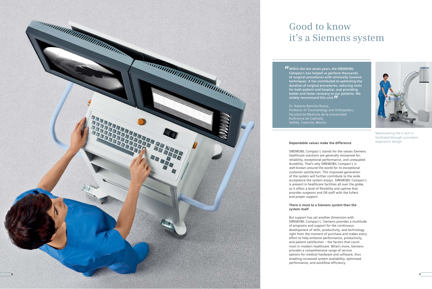

Maneuvering the C-arm is facilitated through consistent

# ergonomic design **Dependable values make the difference**

SIREMOBIL Compact L stands for the values Siemens healthcare solutions are generally renowned for: reliability, exceptional performance, and unequaled durability. That's why SIREMOBIL Compact L is well-known around the world for its exceptional customer satisfaction. This improved generation of the system will further contribute to the wide acceptance the system enjoys. SIREMOBIL Compact L is present in healthcare facilities all over the globe, as it offers a level of flexibility and uptime that provides surgeons and OR staff with the fullest and proper support.

# **There is more to a Siemens system than the system itself**

But support has yet another dimension with SIREMOBIL Compact L: Siemens provides a multitude of programs and support for the continuous development of skills, productivity, and technology right from the moment of purchase and makes every effort to help enhance performance, productivity, and patient satisfaction – the factors that count most in modern healthcare. What's more, Siemens provides a comprehensive range of service options for medical hardware and software, thus enabling increased system availability, optimized performance, and workflow efficiency.

# **Good to know it's a Siemens system**

**"Within the last seven years, the SIREMOBIL Compact L has helped us perform thousands of surgical procedures with minimally invasive techniques. It has contributed to optimizing the duration of surgical procedures, reducing costs for both patient and hospital, and providing better and faster recovery to our patients. We widely recommend this unit. "**

Dr. Roberto Ramírez Rivera, Professor of Traumatology and Orthopedics, Facultad de Medicina de la Universidad Autónoma de Coahuila, Saltillo, Coahuila, Mexico

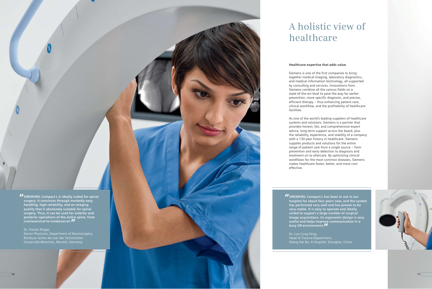# **Healthcare expertise that adds value**

Siemens is one of the first companies to bring together medical imaging, laboratory diagnostics, and medical information technology, all supported by consulting and services. Innovations from Siemens combine all the various fields on a state-of-the-art level to pave the way for earlier prevention, more specific diagnosis, and precise, efficient therapy – thus enhancing patient care, clinical workflow, and the profitability of healthcare facilities.

**II** SIREMOBIL Compact L is ideally suited for spinal **surgery. It convinces through markedly easy handling, high reliability, and an imaging quality that is absolutely suitable for spinal surgery. Thus, it can be used for anterior and posterior operations of the entire spine, from** 

As one of the world's leading suppliers of healthcare systems and solutions, Siemens is a partner that provides honest, fair, and comprehensive expert advice, long-term support across the board, plus the reliability, experience, and stability of a company with a 130-year history in healthcare. Siemens supplies products and solutions for the entire range of patient care from a single source – from prevention and early detection to diagnosis and treatment on to aftercare. By optimizing clinical workflows for the most common diseases, Siemens makes healthcare faster, better, and more costeffective.

**II** SIREMOBIL Compact L has been in use in our **hospital for about four years now, and the system has performed very well and has proven to be very stable. It is easy to operate and ideally suited to support a large number of surgical image acquisitions. Its ergonomic design is very useful and helps improve communication in a** 

**busy OR environment."**<br>Dr. Luo Cong Feng,<br>Head of Trauma Department,<br>Shang Hai No. 6 Hospital, Shanghai, China Dr. Luo Cong Feng, Head of Trauma Department,<br>Shang Hai No. 6 Hospital, Shanghai, China



Dr. Florian Ringel,

**craniocervical to lumbosacral.** *II***<br>Dr. Florian Ringel,<br>Senior Physician, Department of Neuros<br>Klinikum rechts der Isar der Technischer<br>Universität München, Munich, Germany** Senior Physician, Department of Neurosurgery, Klinikum rechts der Isar der Technischen<br>Universität München, Munich, Germany

# **A holistic view of healthcare**